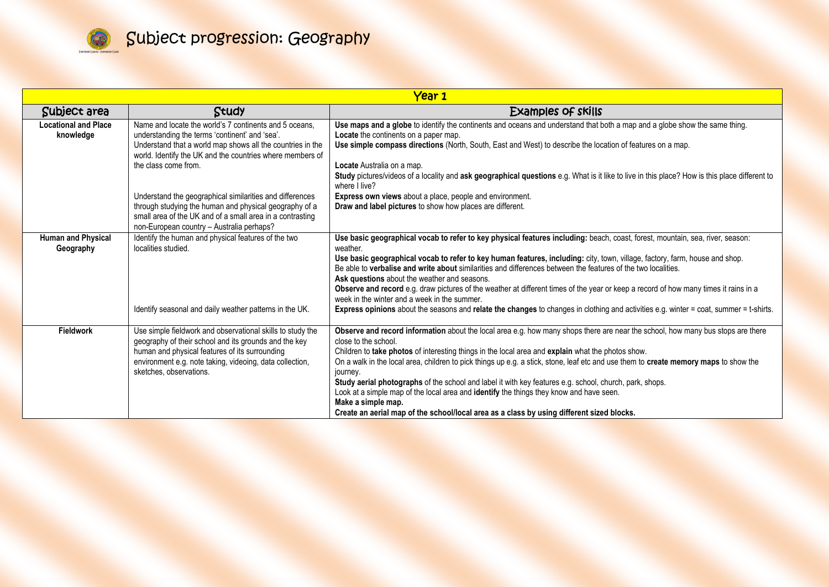

| Year 1                                   |                                                                                                                                                                                                                                                              |                                                                                                                                                                                                                                                                                                                                                                                                                                                                                                                                                                                                                                                                                                                                                                             |
|------------------------------------------|--------------------------------------------------------------------------------------------------------------------------------------------------------------------------------------------------------------------------------------------------------------|-----------------------------------------------------------------------------------------------------------------------------------------------------------------------------------------------------------------------------------------------------------------------------------------------------------------------------------------------------------------------------------------------------------------------------------------------------------------------------------------------------------------------------------------------------------------------------------------------------------------------------------------------------------------------------------------------------------------------------------------------------------------------------|
| Subject area                             | Study                                                                                                                                                                                                                                                        | Examples of skills                                                                                                                                                                                                                                                                                                                                                                                                                                                                                                                                                                                                                                                                                                                                                          |
| <b>Locational and Place</b><br>knowledge | Name and locate the world's 7 continents and 5 oceans.<br>understanding the terms 'continent' and 'sea'.<br>Understand that a world map shows all the countries in the<br>world. Identify the UK and the countries where members of<br>the class come from.  | Use maps and a globe to identify the continents and oceans and understand that both a map and a globe show the same thing.<br>Locate the continents on a paper map.<br>Use simple compass directions (North, South, East and West) to describe the location of features on a map.<br>Locate Australia on a map.<br>Study pictures/videos of a locality and ask geographical questions e.g. What is it like to live in this place? How is this place different to<br>where I live?                                                                                                                                                                                                                                                                                           |
|                                          | Understand the geographical similarities and differences<br>through studying the human and physical geography of a<br>small area of the UK and of a small area in a contrasting<br>non-European country - Australia perhaps?                                 | Express own views about a place, people and environment.<br>Draw and label pictures to show how places are different.                                                                                                                                                                                                                                                                                                                                                                                                                                                                                                                                                                                                                                                       |
| <b>Human and Physical</b><br>Geography   | Identify the human and physical features of the two<br>localities studied.<br>Identify seasonal and daily weather patterns in the UK.                                                                                                                        | Use basic geographical vocab to refer to key physical features including: beach, coast, forest, mountain, sea, river, season:<br>weather.<br>Use basic geographical vocab to refer to key human features, including: city, town, village, factory, farm, house and shop.<br>Be able to verbalise and write about similarities and differences between the features of the two localities.<br>Ask questions about the weather and seasons.<br>Observe and record e.g. draw pictures of the weather at different times of the year or keep a record of how many times it rains in a<br>week in the winter and a week in the summer.<br>Express opinions about the seasons and relate the changes to changes in clothing and activities e.g. winter = coat, summer = t-shirts. |
| Fieldwork                                | Use simple fieldwork and observational skills to study the<br>geography of their school and its grounds and the key<br>human and physical features of its surrounding<br>environment e.g. note taking, videoing, data collection,<br>sketches, observations. | Observe and record information about the local area e.g. how many shops there are near the school, how many bus stops are there<br>close to the school.<br>Children to take photos of interesting things in the local area and explain what the photos show.<br>On a walk in the local area, children to pick things up e.g. a stick, stone, leaf etc and use them to create memory maps to show the<br>journey.<br>Study aerial photographs of the school and label it with key features e.g. school, church, park, shops.<br>Look at a simple map of the local area and identify the things they know and have seen.<br>Make a simple map.<br>Create an aerial map of the school/local area as a class by using different sized blocks.                                   |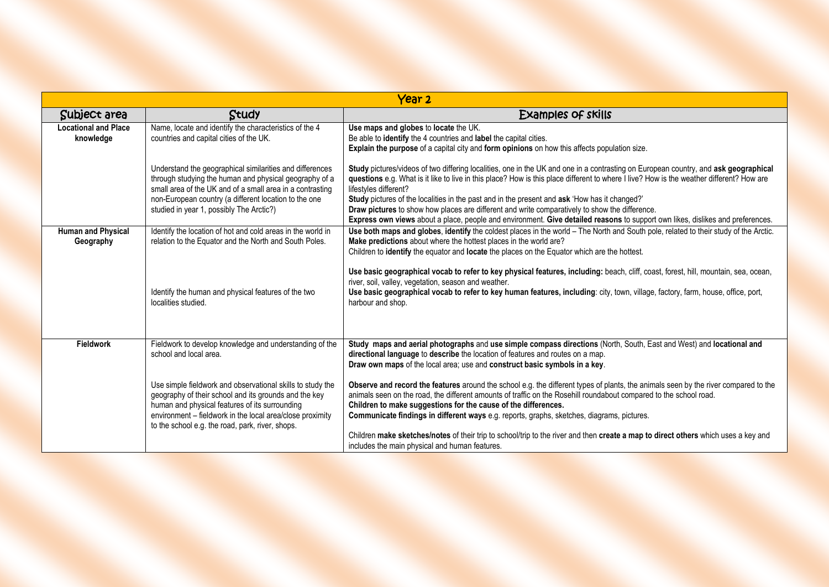| Year <sub>2</sub>                        |                                                                                                                                                                                                                                                                                        |                                                                                                                                                                                                                                                                                                                                                                                                                                                                                                                                                                                                                                               |
|------------------------------------------|----------------------------------------------------------------------------------------------------------------------------------------------------------------------------------------------------------------------------------------------------------------------------------------|-----------------------------------------------------------------------------------------------------------------------------------------------------------------------------------------------------------------------------------------------------------------------------------------------------------------------------------------------------------------------------------------------------------------------------------------------------------------------------------------------------------------------------------------------------------------------------------------------------------------------------------------------|
| Subject area                             | Study                                                                                                                                                                                                                                                                                  | Examples of skills                                                                                                                                                                                                                                                                                                                                                                                                                                                                                                                                                                                                                            |
| <b>Locational and Place</b><br>knowledge | Name, locate and identify the characteristics of the 4<br>countries and capital cities of the UK.                                                                                                                                                                                      | Use maps and globes to locate the UK.<br>Be able to identify the 4 countries and label the capital cities.<br><b>Explain the purpose</b> of a capital city and <b>form opinions</b> on how this affects population size.                                                                                                                                                                                                                                                                                                                                                                                                                      |
|                                          | Understand the geographical similarities and differences<br>through studying the human and physical geography of a<br>small area of the UK and of a small area in a contrasting<br>non-European country (a different location to the one<br>studied in year 1, possibly The Arctic?)   | Study pictures/videos of two differing localities, one in the UK and one in a contrasting on European country, and ask geographical<br>questions e.g. What is it like to live in this place? How is this place different to where I live? How is the weather different? How are<br>lifestyles different?<br>Study pictures of the localities in the past and in the present and ask 'How has it changed?'<br>Draw pictures to show how places are different and write comparatively to show the difference.<br>Express own views about a place, people and environment. Give detailed reasons to support own likes, dislikes and preferences. |
| <b>Human and Physical</b><br>Geography   | Identify the location of hot and cold areas in the world in<br>relation to the Equator and the North and South Poles.                                                                                                                                                                  | Use both maps and globes, identify the coldest places in the world - The North and South pole, related to their study of the Arctic.<br>Make predictions about where the hottest places in the world are?<br>Children to identify the equator and locate the places on the Equator which are the hottest.                                                                                                                                                                                                                                                                                                                                     |
|                                          | Identify the human and physical features of the two<br>localities studied.                                                                                                                                                                                                             | Use basic geographical vocab to refer to key physical features, including: beach, cliff, coast, forest, hill, mountain, sea, ocean,<br>river, soil, valley, vegetation, season and weather.<br>Use basic geographical vocab to refer to key human features, including: city, town, village, factory, farm, house, office, port,<br>harbour and shop.                                                                                                                                                                                                                                                                                          |
| <b>Fieldwork</b>                         | Fieldwork to develop knowledge and understanding of the<br>school and local area.                                                                                                                                                                                                      | Study maps and aerial photographs and use simple compass directions (North, South, East and West) and locational and<br>directional language to describe the location of features and routes on a map.<br>Draw own maps of the local area; use and construct basic symbols in a key.                                                                                                                                                                                                                                                                                                                                                          |
|                                          | Use simple fieldwork and observational skills to study the<br>geography of their school and its grounds and the key<br>human and physical features of its surrounding<br>environment - fieldwork in the local area/close proximity<br>to the school e.g. the road, park, river, shops. | Observe and record the features around the school e.g. the different types of plants, the animals seen by the river compared to the<br>animals seen on the road, the different amounts of traffic on the Rosehill roundabout compared to the school road.<br>Children to make suggestions for the cause of the differences.<br>Communicate findings in different ways e.g. reports, graphs, sketches, diagrams, pictures.<br>Children make sketches/notes of their trip to school/trip to the river and then create a map to direct others which uses a key and<br>includes the main physical and human features.                             |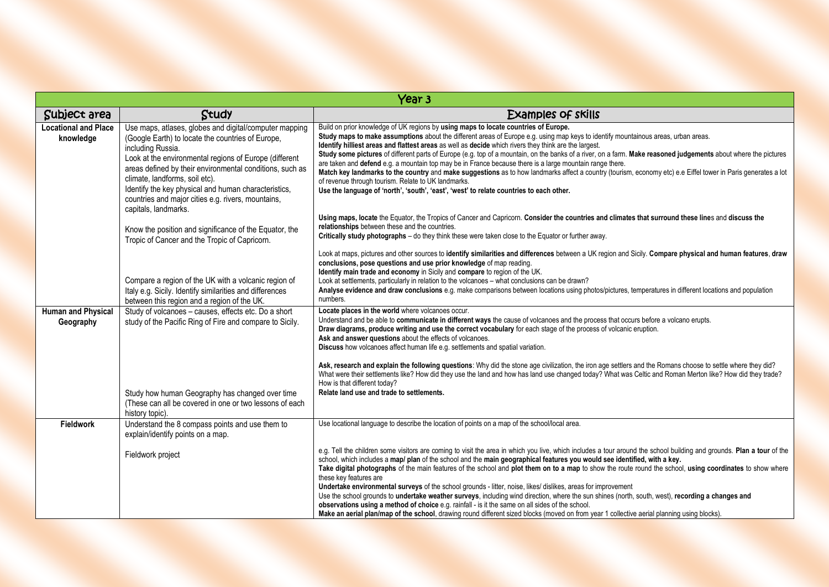|                                          | Year <sub>3</sub>                                                                                                                                                                                                                                                                                                                                                                                                              |                                                                                                                                                                                                                                                                                                                                                                                                                                                                                                                                                                                                                                                                                                                                                                                                                                                                                                                                                                                                                    |  |
|------------------------------------------|--------------------------------------------------------------------------------------------------------------------------------------------------------------------------------------------------------------------------------------------------------------------------------------------------------------------------------------------------------------------------------------------------------------------------------|--------------------------------------------------------------------------------------------------------------------------------------------------------------------------------------------------------------------------------------------------------------------------------------------------------------------------------------------------------------------------------------------------------------------------------------------------------------------------------------------------------------------------------------------------------------------------------------------------------------------------------------------------------------------------------------------------------------------------------------------------------------------------------------------------------------------------------------------------------------------------------------------------------------------------------------------------------------------------------------------------------------------|--|
| Subject area                             | Study                                                                                                                                                                                                                                                                                                                                                                                                                          | Examples of skills                                                                                                                                                                                                                                                                                                                                                                                                                                                                                                                                                                                                                                                                                                                                                                                                                                                                                                                                                                                                 |  |
| <b>Locational and Place</b><br>knowledge | Use maps, atlases, globes and digital/computer mapping<br>(Google Earth) to locate the countries of Europe,<br>including Russia.<br>Look at the environmental regions of Europe (different<br>areas defined by their environmental conditions, such as<br>climate, landforms, soil etc).<br>Identify the key physical and human characteristics,<br>countries and major cities e.g. rivers, mountains,<br>capitals, landmarks. | Build on prior knowledge of UK regions by using maps to locate countries of Europe.<br>Study maps to make assumptions about the different areas of Europe e.g. using map keys to identify mountainous areas, urban areas.<br>Identify hilliest areas and flattest areas as well as decide which rivers they think are the largest.<br>Study some pictures of different parts of Europe (e.g. top of a mountain, on the banks of a river, on a farm. Make reasoned judgements about where the pictures<br>are taken and defend e.g. a mountain top may be in France because there is a large mountain range there.<br>Match key landmarks to the country and make suggestions as to how landmarks affect a country (tourism, economy etc) e.e Eiffel tower in Paris generates a lot<br>of revenue through tourism. Relate to UK landmarks.<br>Use the language of 'north', 'south', 'east', 'west' to relate countries to each other.                                                                               |  |
|                                          | Know the position and significance of the Equator, the<br>Tropic of Cancer and the Tropic of Capricorn.                                                                                                                                                                                                                                                                                                                        | Using maps, locate the Equator, the Tropics of Cancer and Capricorn. Consider the countries and climates that surround these lines and discuss the<br>relationships between these and the countries.<br>Critically study photographs - do they think these were taken close to the Equator or further away.                                                                                                                                                                                                                                                                                                                                                                                                                                                                                                                                                                                                                                                                                                        |  |
|                                          | Compare a region of the UK with a volcanic region of                                                                                                                                                                                                                                                                                                                                                                           | Look at maps, pictures and other sources to identify similarities and differences between a UK region and Sicily. Compare physical and human features, draw<br>conclusions, pose questions and use prior knowledge of map reading.<br>Identify main trade and economy in Sicily and compare to region of the UK.<br>Look at settlements, particularly in relation to the volcanoes – what conclusions can be drawn?                                                                                                                                                                                                                                                                                                                                                                                                                                                                                                                                                                                                |  |
|                                          | Italy e.g. Sicily. Identify similarities and differences<br>between this region and a region of the UK.                                                                                                                                                                                                                                                                                                                        | Analyse evidence and draw conclusions e.g. make comparisons between locations using photos/pictures, temperatures in different locations and population<br>numbers.                                                                                                                                                                                                                                                                                                                                                                                                                                                                                                                                                                                                                                                                                                                                                                                                                                                |  |
| <b>Human and Physical</b><br>Geography   | Study of volcanoes - causes, effects etc. Do a short<br>study of the Pacific Ring of Fire and compare to Sicily.                                                                                                                                                                                                                                                                                                               | Locate places in the world where volcanoes occur.<br>Understand and be able to communicate in different ways the cause of volcanoes and the process that occurs before a volcano erupts.<br>Draw diagrams, produce writing and use the correct vocabulary for each stage of the process of volcanic eruption.<br>Ask and answer questions about the effects of volcanoes.<br>Discuss how volcanoes affect human life e.g. settlements and spatial variation.                                                                                                                                                                                                                                                                                                                                                                                                                                                                                                                                                       |  |
|                                          | Study how human Geography has changed over time                                                                                                                                                                                                                                                                                                                                                                                | Ask, research and explain the following questions: Why did the stone age civilization, the iron age settlers and the Romans choose to settle where they did?<br>What were their settlements like? How did they use the land and how has land use changed today? What was Celtic and Roman Merton like? How did they trade?<br>How is that different today?<br>Relate land use and trade to settlements.                                                                                                                                                                                                                                                                                                                                                                                                                                                                                                                                                                                                            |  |
|                                          | (These can all be covered in one or two lessons of each<br>history topic).                                                                                                                                                                                                                                                                                                                                                     |                                                                                                                                                                                                                                                                                                                                                                                                                                                                                                                                                                                                                                                                                                                                                                                                                                                                                                                                                                                                                    |  |
| <b>Fieldwork</b>                         | Understand the 8 compass points and use them to<br>explain/identify points on a map.                                                                                                                                                                                                                                                                                                                                           | Use locational language to describe the location of points on a map of the school/local area.                                                                                                                                                                                                                                                                                                                                                                                                                                                                                                                                                                                                                                                                                                                                                                                                                                                                                                                      |  |
|                                          | Fieldwork project                                                                                                                                                                                                                                                                                                                                                                                                              | e.g. Tell the children some visitors are coming to visit the area in which you live, which includes a tour around the school building and grounds. Plan a tour of the<br>school, which includes a map/ plan of the school and the main geographical features you would see identified, with a key.<br>Take digital photographs of the main features of the school and plot them on to a map to show the route round the school, using coordinates to show where<br>these key features are<br>Undertake environmental surveys of the school grounds - litter, noise, likes/ dislikes, areas for improvement<br>Use the school grounds to undertake weather surveys, including wind direction, where the sun shines (north, south, west), recording a changes and<br>observations using a method of choice e.g. rainfall - is it the same on all sides of the school.<br>Make an aerial plan/map of the school, drawing round different sized blocks (moved on from year 1 collective aerial planning using blocks). |  |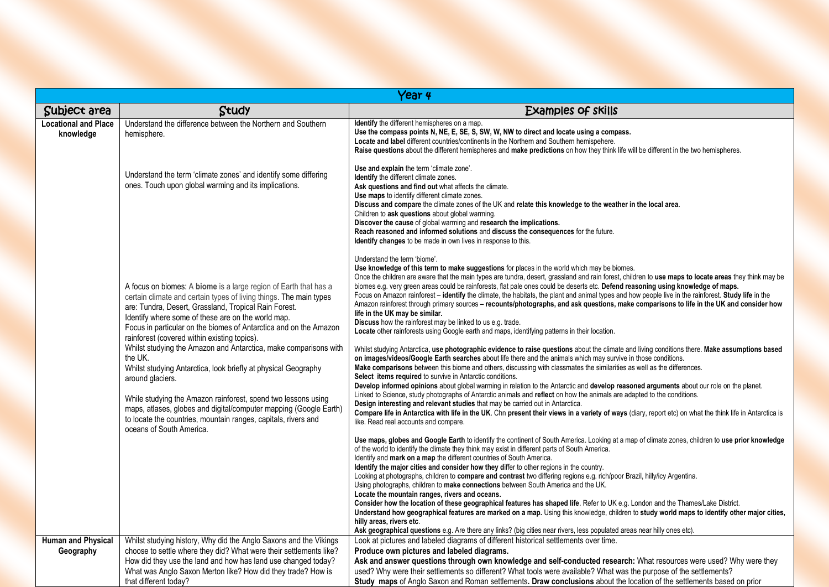|                                          | Year 4                                                                                                                                                                                                                                                                                                                                                                                                                                                                                                                                                                                                                                                                                                                                                                              |                                                                                                                                                                                                                                                                                                                                                                                                                                                                                                                                                                                                                                                                                                                                                                                                                                                                                                                                                                                                                                                                                                                                                                                                                                                                                                                                                                                                                                                                                                                                                                                                                                                                                                                                                                                                                                                                                                                                                          |  |
|------------------------------------------|-------------------------------------------------------------------------------------------------------------------------------------------------------------------------------------------------------------------------------------------------------------------------------------------------------------------------------------------------------------------------------------------------------------------------------------------------------------------------------------------------------------------------------------------------------------------------------------------------------------------------------------------------------------------------------------------------------------------------------------------------------------------------------------|----------------------------------------------------------------------------------------------------------------------------------------------------------------------------------------------------------------------------------------------------------------------------------------------------------------------------------------------------------------------------------------------------------------------------------------------------------------------------------------------------------------------------------------------------------------------------------------------------------------------------------------------------------------------------------------------------------------------------------------------------------------------------------------------------------------------------------------------------------------------------------------------------------------------------------------------------------------------------------------------------------------------------------------------------------------------------------------------------------------------------------------------------------------------------------------------------------------------------------------------------------------------------------------------------------------------------------------------------------------------------------------------------------------------------------------------------------------------------------------------------------------------------------------------------------------------------------------------------------------------------------------------------------------------------------------------------------------------------------------------------------------------------------------------------------------------------------------------------------------------------------------------------------------------------------------------------------|--|
| Subject area                             | Study                                                                                                                                                                                                                                                                                                                                                                                                                                                                                                                                                                                                                                                                                                                                                                               | Examples of skills                                                                                                                                                                                                                                                                                                                                                                                                                                                                                                                                                                                                                                                                                                                                                                                                                                                                                                                                                                                                                                                                                                                                                                                                                                                                                                                                                                                                                                                                                                                                                                                                                                                                                                                                                                                                                                                                                                                                       |  |
| <b>Locational and Place</b><br>knowledge | Understand the difference between the Northern and Southern<br>hemisphere.                                                                                                                                                                                                                                                                                                                                                                                                                                                                                                                                                                                                                                                                                                          | <b>Identify</b> the different hemispheres on a map.<br>Use the compass points N, NE, E, SE, S, SW, W, NW to direct and locate using a compass.<br>Locate and label different countries/continents in the Northern and Southern hemispehere.<br>Raise questions about the different hemispheres and make predictions on how they think life will be different in the two hemispheres.                                                                                                                                                                                                                                                                                                                                                                                                                                                                                                                                                                                                                                                                                                                                                                                                                                                                                                                                                                                                                                                                                                                                                                                                                                                                                                                                                                                                                                                                                                                                                                     |  |
|                                          | Understand the term 'climate zones' and identify some differing<br>ones. Touch upon global warming and its implications.                                                                                                                                                                                                                                                                                                                                                                                                                                                                                                                                                                                                                                                            | Use and explain the term 'climate zone'.<br><b>Identify</b> the different climate zones.<br>Ask questions and find out what affects the climate.<br>Use maps to identify different climate zones.<br>Discuss and compare the climate zones of the UK and relate this knowledge to the weather in the local area.<br>Children to ask questions about global warming.<br>Discover the cause of global warming and research the implications.<br>Reach reasoned and informed solutions and discuss the consequences for the future.<br><b>Identify changes</b> to be made in own lives in response to this.                                                                                                                                                                                                                                                                                                                                                                                                                                                                                                                                                                                                                                                                                                                                                                                                                                                                                                                                                                                                                                                                                                                                                                                                                                                                                                                                                 |  |
|                                          | A focus on biomes: A biome is a large region of Earth that has a<br>certain climate and certain types of living things. The main types<br>are: Tundra, Desert, Grassland, Tropical Rain Forest.<br>Identify where some of these are on the world map.<br>Focus in particular on the biomes of Antarctica and on the Amazon<br>rainforest (covered within existing topics).<br>Whilst studying the Amazon and Antarctica, make comparisons with<br>the UK.<br>Whilst studying Antarctica, look briefly at physical Geography<br>around glaciers.<br>While studying the Amazon rainforest, spend two lessons using<br>maps, atlases, globes and digital/computer mapping (Google Earth)<br>to locate the countries, mountain ranges, capitals, rivers and<br>oceans of South America. | Understand the term 'biome'.<br>Use knowledge of this term to make suggestions for places in the world which may be biomes.<br>Once the children are aware that the main types are tundra, desert, grassland and rain forest, children to use maps to locate areas they think may be<br>biomes e.g. very green areas could be rainforests, flat pale ones could be deserts etc. Defend reasoning using knowledge of maps.<br>Focus on Amazon rainforest – identify the climate, the habitats, the plant and animal types and how people live in the rainforest. Study life in the<br>Amazon rainforest through primary sources – recounts/photographs, and ask questions, make comparisons to life in the UK and consider how<br>life in the UK may be similar.<br>Discuss how the rainforest may be linked to us e.g. trade.<br>Locate other rainforests using Google earth and maps, identifying patterns in their location.<br>Whilst studying Antarctica, use photographic evidence to raise questions about the climate and living conditions there. Make assumptions based<br>on images/videos/Google Earth searches about life there and the animals which may survive in those conditions.<br>Make comparisons between this biome and others, discussing with classmates the similarities as well as the differences.<br>Select items required to survive in Antarctic conditions.<br>Develop informed opinions about global warming in relation to the Antarctic and develop reasoned arguments about our role on the planet.<br>Linked to Science, study photographs of Antarctic animals and reflect on how the animals are adapted to the conditions.<br>Design interesting and relevant studies that may be carried out in Antarctica.<br>Compare life in Antarctica with life in the UK. Chn present their views in a variety of ways (diary, report etc) on what the think life in Antarctica is<br>like. Read real accounts and compare. |  |
|                                          |                                                                                                                                                                                                                                                                                                                                                                                                                                                                                                                                                                                                                                                                                                                                                                                     | Use maps, globes and Google Earth to identify the continent of South America. Looking at a map of climate zones, children to use prior knowledge<br>of the world to identify the climate they think may exist in different parts of South America.<br>Identify and mark on a map the different countries of South America.<br>Identify the major cities and consider how they differ to other regions in the country.<br>Looking at photographs, children to compare and contrast two differing regions e.g. rich/poor Brazil, hilly/icy Argentina.<br>Using photographs, children to <b>make connections</b> between South America and the UK.<br>Locate the mountain ranges, rivers and oceans.<br>Consider how the location of these geographical features has shaped life. Refer to UK e.g. London and the Thames/Lake District.<br>Understand how geographical features are marked on a map. Using this knowledge, children to study world maps to identify other major cities,<br>hilly areas, rivers etc.                                                                                                                                                                                                                                                                                                                                                                                                                                                                                                                                                                                                                                                                                                                                                                                                                                                                                                                                         |  |
|                                          |                                                                                                                                                                                                                                                                                                                                                                                                                                                                                                                                                                                                                                                                                                                                                                                     | Ask geographical questions e.g. Are there any links? (big cities near rivers, less populated areas near hilly ones etc).                                                                                                                                                                                                                                                                                                                                                                                                                                                                                                                                                                                                                                                                                                                                                                                                                                                                                                                                                                                                                                                                                                                                                                                                                                                                                                                                                                                                                                                                                                                                                                                                                                                                                                                                                                                                                                 |  |
| <b>Human and Physical</b><br>Geography   | Whilst studying history, Why did the Anglo Saxons and the Vikings<br>choose to settle where they did? What were their settlements like?                                                                                                                                                                                                                                                                                                                                                                                                                                                                                                                                                                                                                                             | Look at pictures and labeled diagrams of different historical settlements over time.<br>Produce own pictures and labeled diagrams.                                                                                                                                                                                                                                                                                                                                                                                                                                                                                                                                                                                                                                                                                                                                                                                                                                                                                                                                                                                                                                                                                                                                                                                                                                                                                                                                                                                                                                                                                                                                                                                                                                                                                                                                                                                                                       |  |
|                                          | How did they use the land and how has land use changed today?                                                                                                                                                                                                                                                                                                                                                                                                                                                                                                                                                                                                                                                                                                                       | Ask and answer questions through own knowledge and self-conducted research: What resources were used? Why were they                                                                                                                                                                                                                                                                                                                                                                                                                                                                                                                                                                                                                                                                                                                                                                                                                                                                                                                                                                                                                                                                                                                                                                                                                                                                                                                                                                                                                                                                                                                                                                                                                                                                                                                                                                                                                                      |  |
|                                          | What was Anglo Saxon Merton like? How did they trade? How is                                                                                                                                                                                                                                                                                                                                                                                                                                                                                                                                                                                                                                                                                                                        | used? Why were their settlements so different? What tools were available? What was the purpose of the settlements?                                                                                                                                                                                                                                                                                                                                                                                                                                                                                                                                                                                                                                                                                                                                                                                                                                                                                                                                                                                                                                                                                                                                                                                                                                                                                                                                                                                                                                                                                                                                                                                                                                                                                                                                                                                                                                       |  |
|                                          | that different today?                                                                                                                                                                                                                                                                                                                                                                                                                                                                                                                                                                                                                                                                                                                                                               | Study maps of Anglo Saxon and Roman settlements. Draw conclusions about the location of the settlements based on prior                                                                                                                                                                                                                                                                                                                                                                                                                                                                                                                                                                                                                                                                                                                                                                                                                                                                                                                                                                                                                                                                                                                                                                                                                                                                                                                                                                                                                                                                                                                                                                                                                                                                                                                                                                                                                                   |  |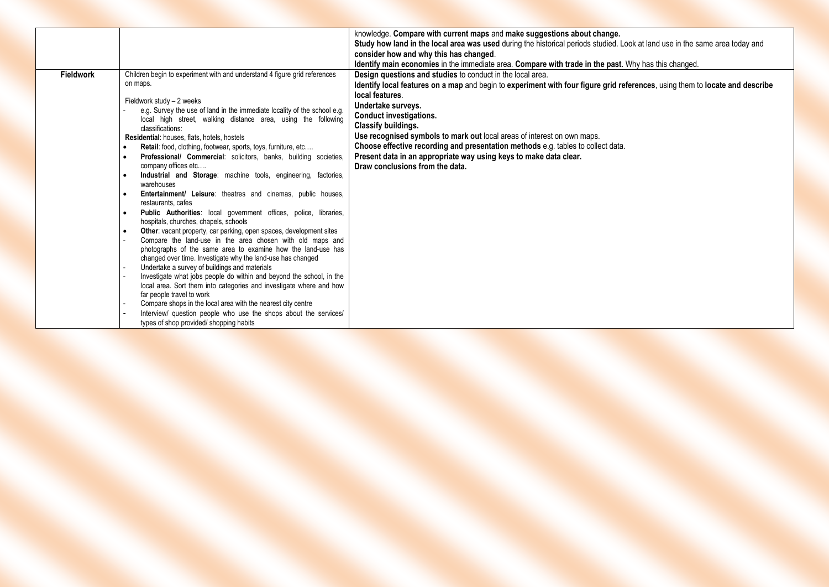|                  |                                                                                           | knowledge. Compare with current maps and make suggestions about change.                                                      |
|------------------|-------------------------------------------------------------------------------------------|------------------------------------------------------------------------------------------------------------------------------|
|                  |                                                                                           | Study how land in the local area was used during the historical periods studied. Look at land use in the same area today and |
|                  |                                                                                           | consider how and why this has changed.                                                                                       |
|                  |                                                                                           | Identify main economies in the immediate area. Compare with trade in the past. Why has this changed.                         |
| <b>Fieldwork</b> | Children begin to experiment with and understand 4 figure grid references                 | <b>Design questions and studies</b> to conduct in the local area.                                                            |
|                  | on maps.                                                                                  | Identify local features on a map and begin to experiment with four figure grid references, using them to locate and describe |
|                  | Fieldwork study - 2 weeks                                                                 | local features.                                                                                                              |
|                  | e.g. Survey the use of land in the immediate locality of the school e.g.                  | Undertake surveys.                                                                                                           |
|                  | local high street, walking distance area, using the following                             | <b>Conduct investigations.</b>                                                                                               |
|                  | classifications:                                                                          | <b>Classify buildings.</b>                                                                                                   |
|                  | Residential: houses, flats, hotels, hostels                                               | Use recognised symbols to mark out local areas of interest on own maps.                                                      |
|                  | Retail: food, clothing, footwear, sports, toys, furniture, etc                            | Choose effective recording and presentation methods e.g. tables to collect data.                                             |
|                  | Professional/ Commercial: solicitors, banks, building societies,                          | Present data in an appropriate way using keys to make data clear.                                                            |
|                  | company offices etc                                                                       | Draw conclusions from the data.                                                                                              |
|                  | Industrial and Storage: machine tools, engineering, factories,                            |                                                                                                                              |
|                  | warehouses<br>Entertainment/ Leisure: theatres and cinemas, public houses,                |                                                                                                                              |
|                  | restaurants, cafes                                                                        |                                                                                                                              |
|                  | Public Authorities: local government offices, police, libraries,                          |                                                                                                                              |
|                  | hospitals, churches, chapels, schools                                                     |                                                                                                                              |
|                  | Other: vacant property, car parking, open spaces, development sites                       |                                                                                                                              |
|                  | Compare the land-use in the area chosen with old maps and                                 |                                                                                                                              |
|                  | photographs of the same area to examine how the land-use has                              |                                                                                                                              |
|                  | changed over time. Investigate why the land-use has changed                               |                                                                                                                              |
|                  | Undertake a survey of buildings and materials                                             |                                                                                                                              |
|                  | Investigate what jobs people do within and beyond the school, in the                      |                                                                                                                              |
|                  | local area. Sort them into categories and investigate where and how                       |                                                                                                                              |
|                  | far people travel to work<br>Compare shops in the local area with the nearest city centre |                                                                                                                              |
|                  | Interview/ question people who use the shops about the services/                          |                                                                                                                              |
|                  | types of shop provided/shopping habits                                                    |                                                                                                                              |
|                  |                                                                                           |                                                                                                                              |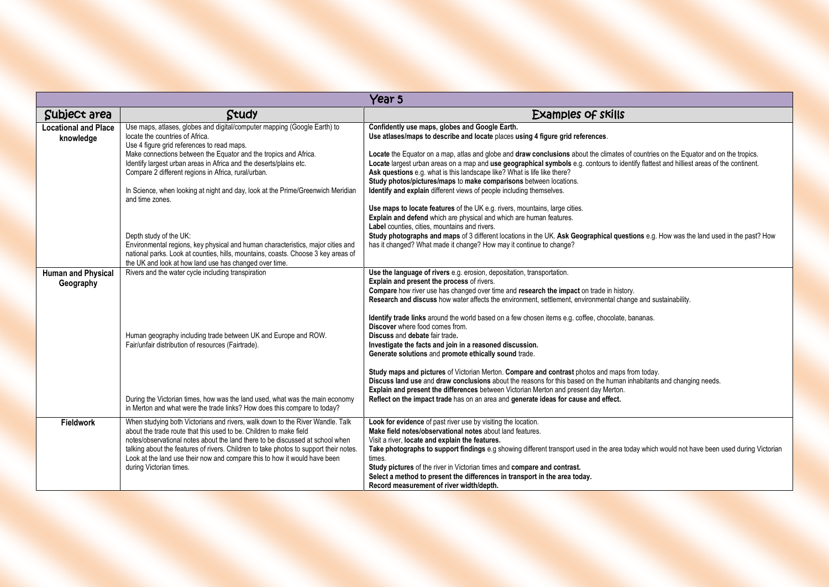| Year <sub>5</sub>                        |                                                                                                                                                                                                                                                                                                                                                                                                                                                                  |                                                                                                                                                                                                                                                                                                                                                                                                                                                                                                                                                                                                                                                                                                                                          |
|------------------------------------------|------------------------------------------------------------------------------------------------------------------------------------------------------------------------------------------------------------------------------------------------------------------------------------------------------------------------------------------------------------------------------------------------------------------------------------------------------------------|------------------------------------------------------------------------------------------------------------------------------------------------------------------------------------------------------------------------------------------------------------------------------------------------------------------------------------------------------------------------------------------------------------------------------------------------------------------------------------------------------------------------------------------------------------------------------------------------------------------------------------------------------------------------------------------------------------------------------------------|
| Subject area                             | Study                                                                                                                                                                                                                                                                                                                                                                                                                                                            | <b>Examples of skills</b>                                                                                                                                                                                                                                                                                                                                                                                                                                                                                                                                                                                                                                                                                                                |
| <b>Locational and Place</b><br>knowledge | Use maps, atlases, globes and digital/computer mapping (Google Earth) to<br>locate the countries of Africa.<br>Use 4 figure grid references to read maps.<br>Make connections between the Equator and the tropics and Africa.<br>Identify largest urban areas in Africa and the deserts/plains etc.<br>Compare 2 different regions in Africa, rural/urban.<br>In Science, when looking at night and day, look at the Prime/Greenwich Meridian<br>and time zones. | Confidently use maps, globes and Google Earth.<br>Use atlases/maps to describe and locate places using 4 figure grid references.<br>Locate the Equator on a map, atlas and globe and draw conclusions about the climates of countries on the Equator and on the tropics.<br>Locate largest urban areas on a map and use geographical symbols e.g. contours to identify flattest and hilliest areas of the continent.<br>Ask questions e.g. what is this landscape like? What is life like there?<br>Study photos/pictures/maps to make comparisons between locations.<br>Identify and explain different views of people including themselves.                                                                                            |
|                                          | Depth study of the UK:<br>Environmental regions, key physical and human characteristics, major cities and<br>national parks. Look at counties, hills, mountains, coasts. Choose 3 key areas of<br>the UK and look at how land use has changed over time.                                                                                                                                                                                                         | Use maps to locate features of the UK e.g. rivers, mountains, large cities.<br>Explain and defend which are physical and which are human features.<br>Label counties, cities, mountains and rivers.<br>Study photographs and maps of 3 different locations in the UK. Ask Geographical questions e.g. How was the land used in the past? How<br>has it changed? What made it change? How may it continue to change?                                                                                                                                                                                                                                                                                                                      |
| <b>Human and Physical</b><br>Geography   | Rivers and the water cycle including transpiration<br>Human geography including trade between UK and Europe and ROW.<br>Fair/unfair distribution of resources (Fairtrade).                                                                                                                                                                                                                                                                                       | Use the language of rivers e.g. erosion, depositation, transportation.<br>Explain and present the process of rivers.<br>Compare how river use has changed over time and research the impact on trade in history.<br>Research and discuss how water affects the environment, settlement, environmental change and sustainability.<br><b>Identify trade links</b> around the world based on a few chosen items e.g. coffee, chocolate, bananas.<br>Discover where food comes from.<br>Discuss and debate fair trade.<br>Investigate the facts and join in a reasoned discussion.<br>Generate solutions and promote ethically sound trade.<br>Study maps and pictures of Victorian Merton. Compare and contrast photos and maps from today. |
|                                          | During the Victorian times, how was the land used, what was the main economy<br>in Merton and what were the trade links? How does this compare to today?                                                                                                                                                                                                                                                                                                         | Discuss land use and draw conclusions about the reasons for this based on the human inhabitants and changing needs.<br>Explain and present the differences between Victorian Merton and present day Merton.<br>Reflect on the impact trade has on an area and generate ideas for cause and effect.                                                                                                                                                                                                                                                                                                                                                                                                                                       |
| Fieldwork                                | When studying both Victorians and rivers, walk down to the River Wandle. Talk<br>about the trade route that this used to be. Children to make field<br>notes/observational notes about the land there to be discussed at school when<br>talking about the features of rivers. Children to take photos to support their notes.<br>Look at the land use their now and compare this to how it would have been<br>during Victorian times.                            | Look for evidence of past river use by visiting the location.<br>Make field notes/observational notes about land features.<br>Visit a river, locate and explain the features.<br>Take photographs to support findings e.g showing different transport used in the area today which would not have been used during Victorian<br>times.<br>Study pictures of the river in Victorian times and compare and contrast.<br>Select a method to present the differences in transport in the area today.<br>Record measurement of river width/depth.                                                                                                                                                                                             |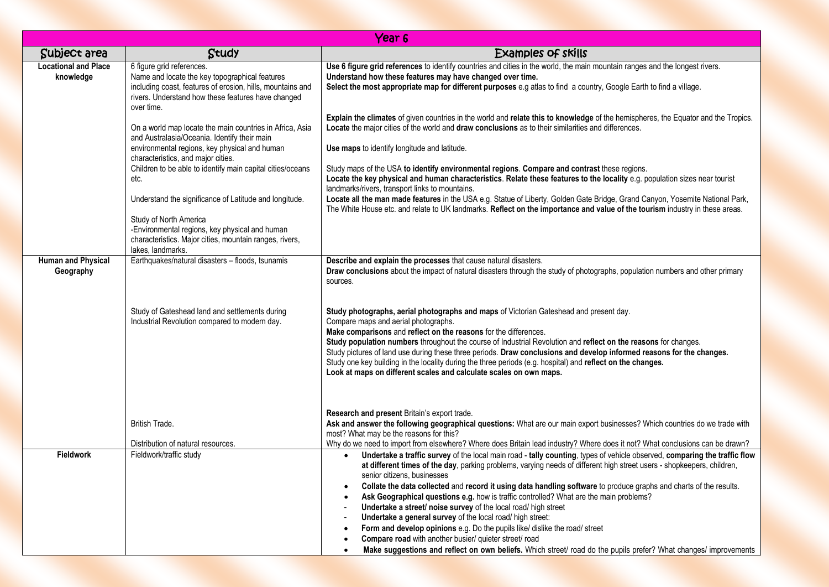|                                          |                                                                                                                                                                                                                    | Year <sub>6</sub>                                                                                                                                                                                                                                                                                                                                                                                                                                                                                                                                                                                                                                                                                                                                                                                                                                                                                                                       |
|------------------------------------------|--------------------------------------------------------------------------------------------------------------------------------------------------------------------------------------------------------------------|-----------------------------------------------------------------------------------------------------------------------------------------------------------------------------------------------------------------------------------------------------------------------------------------------------------------------------------------------------------------------------------------------------------------------------------------------------------------------------------------------------------------------------------------------------------------------------------------------------------------------------------------------------------------------------------------------------------------------------------------------------------------------------------------------------------------------------------------------------------------------------------------------------------------------------------------|
| Subject area                             | Study                                                                                                                                                                                                              | <b>Examples of skills</b>                                                                                                                                                                                                                                                                                                                                                                                                                                                                                                                                                                                                                                                                                                                                                                                                                                                                                                               |
| <b>Locational and Place</b><br>knowledge | 6 figure grid references.<br>Name and locate the key topographical features<br>including coast, features of erosion, hills, mountains and<br>rivers. Understand how these features have changed<br>over time.      | Use 6 figure grid references to identify countries and cities in the world, the main mountain ranges and the longest rivers.<br>Understand how these features may have changed over time.<br>Select the most appropriate map for different purposes e.g atlas to find a country, Google Earth to find a village.                                                                                                                                                                                                                                                                                                                                                                                                                                                                                                                                                                                                                        |
|                                          | On a world map locate the main countries in Africa, Asia<br>and Australasia/Oceania. Identify their main<br>environmental regions, key physical and human                                                          | Explain the climates of given countries in the world and relate this to knowledge of the hemispheres, the Equator and the Tropics.<br>Locate the major cities of the world and draw conclusions as to their similarities and differences.<br>Use maps to identify longitude and latitude.                                                                                                                                                                                                                                                                                                                                                                                                                                                                                                                                                                                                                                               |
|                                          | characteristics, and major cities.<br>Children to be able to identify main capital cities/oceans<br>etc.                                                                                                           | Study maps of the USA to identify environmental regions. Compare and contrast these regions.<br>Locate the key physical and human characteristics. Relate these features to the locality e.g. population sizes near tourist<br>landmarks/rivers, transport links to mountains.                                                                                                                                                                                                                                                                                                                                                                                                                                                                                                                                                                                                                                                          |
|                                          | Understand the significance of Latitude and longitude.<br>Study of North America<br>-Environmental regions, key physical and human<br>characteristics. Major cities, mountain ranges, rivers,<br>lakes, landmarks. | Locate all the man made features in the USA e.g. Statue of Liberty, Golden Gate Bridge, Grand Canyon, Yosemite National Park,<br>The White House etc. and relate to UK landmarks. Reflect on the importance and value of the tourism industry in these areas.                                                                                                                                                                                                                                                                                                                                                                                                                                                                                                                                                                                                                                                                           |
| <b>Human and Physical</b><br>Geography   | Earthquakes/natural disasters - floods, tsunamis                                                                                                                                                                   | Describe and explain the processes that cause natural disasters.<br>Draw conclusions about the impact of natural disasters through the study of photographs, population numbers and other primary<br>sources.                                                                                                                                                                                                                                                                                                                                                                                                                                                                                                                                                                                                                                                                                                                           |
|                                          | Study of Gateshead land and settlements during<br>Industrial Revolution compared to modern day.                                                                                                                    | Study photographs, aerial photographs and maps of Victorian Gateshead and present day.<br>Compare maps and aerial photographs.<br>Make comparisons and reflect on the reasons for the differences.<br>Study population numbers throughout the course of Industrial Revolution and reflect on the reasons for changes.<br>Study pictures of land use during these three periods. Draw conclusions and develop informed reasons for the changes.<br>Study one key building in the locality during the three periods (e.g. hospital) and reflect on the changes.<br>Look at maps on different scales and calculate scales on own maps.                                                                                                                                                                                                                                                                                                     |
|                                          | British Trade.                                                                                                                                                                                                     | Research and present Britain's export trade.<br>Ask and answer the following geographical questions: What are our main export businesses? Which countries do we trade with<br>most? What may be the reasons for this?                                                                                                                                                                                                                                                                                                                                                                                                                                                                                                                                                                                                                                                                                                                   |
|                                          | Distribution of natural resources.                                                                                                                                                                                 | Why do we need to import from elsewhere? Where does Britain lead industry? Where does it not? What conclusions can be drawn?                                                                                                                                                                                                                                                                                                                                                                                                                                                                                                                                                                                                                                                                                                                                                                                                            |
| Fieldwork                                | Fieldwork/traffic study                                                                                                                                                                                            | Undertake a traffic survey of the local main road - tally counting, types of vehicle observed, comparing the traffic flow<br>$\bullet$<br>at different times of the day, parking problems, varying needs of different high street users - shopkeepers, children,<br>senior citizens, businesses<br>Collate the data collected and record it using data handling software to produce graphs and charts of the results.<br>Ask Geographical questions e.g. how is traffic controlled? What are the main problems?<br>Undertake a street/ noise survey of the local road/ high street<br>Undertake a general survey of the local road/ high street:<br>Form and develop opinions e.g. Do the pupils like/ dislike the road/ street<br>Compare road with another busier/ quieter street/ road<br>$\bullet$<br>Make suggestions and reflect on own beliefs. Which street/ road do the pupils prefer? What changes/ improvements<br>$\bullet$ |